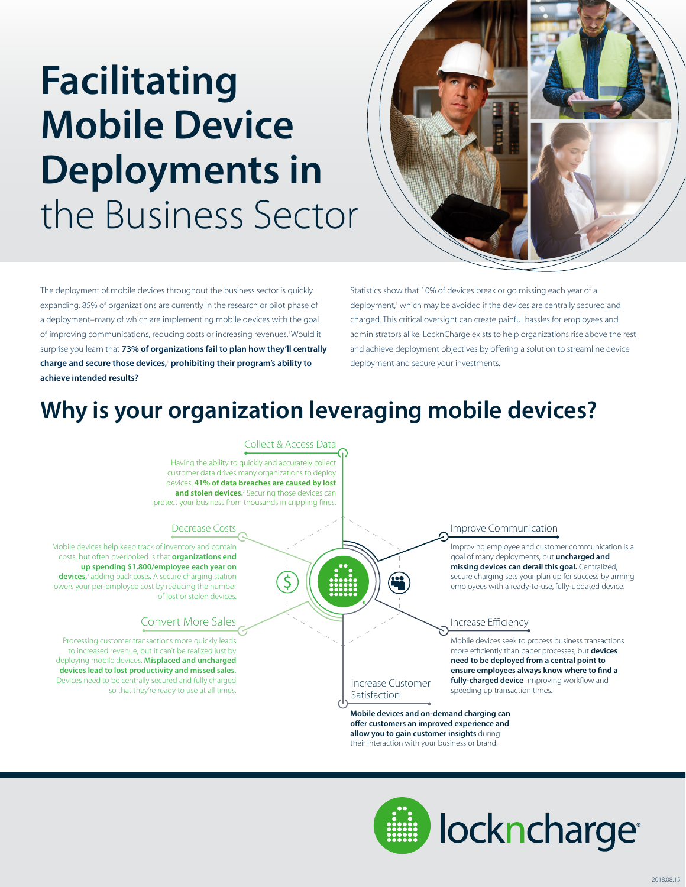# **Facilitating Mobile Device Deployments in**  the Business Sector



The deployment of mobile devices throughout the business sector is quickly expanding. 85% of organizations are currently in the research or pilot phase of a deployment–many of which are implementing mobile devices with the goal of improving communications, reducing costs or increasing revenues.<sup>1</sup> Would it surprise you learn that **73% of organizations fail to plan how they'll centrally charge and secure those devices,**<sup>1</sup>  **prohibiting their program's ability to achieve intended results?**

Statistics show that 10% of devices break or go missing each year of a deployment,' which may be avoided if the devices are centrally secured and charged. This critical oversight can create painful hassles for employees and administrators alike. LocknCharge exists to help organizations rise above the rest and achieve deployment objectives by offering a solution to streamline device deployment and secure your investments.

### **Why is your organization leveraging mobile devices?**

#### Collect & Access Data

Having the ability to quickly and accurately collect customer data drives many organizations to deploy devices. **41% of data breaches are caused by lost**  and stolen devices.<sup>2</sup> Securing those devices can protect your business from thousands in crippling fines.

#### Decrease Costs

Mobile devices help keep track of inventory and contain costs, but often overlooked is that **organizations end up spending \$1,800/employee each year on**  devices,<sup>3</sup> adding back costs. A secure charging station lowers your per-employee cost by reducing the number of lost or stolen devices.

#### Convert More Sales

Processing customer transactions more quickly leads to increased revenue, but it can't be realized just by deploying mobile devices. **Misplaced and uncharged devices lead to lost productivity and missed sales.**  Devices need to be centrally secured and fully charged so that they're ready to use at all times.

#### Improve Communication

Improving employee and customer communication is a goal of many deployments, but **uncharged and missing devices can derail this goal.** Centralized, secure charging sets your plan up for success by arming employees with a ready-to-use, fully-updated device.

#### Increase Efficiency

Mobile devices seek to process business transactions more efficiently than paper processes, but **devices need to be deployed from a central point to**  ensure employees always know where to find a fully-charged device-improving workflow and speeding up transaction times.

Satisfaction **Mobile devices and on-demand charging can** 

Increase Customer

offer customers an improved experience and **allow you to gain customer insights** during their interaction with your business or brand.